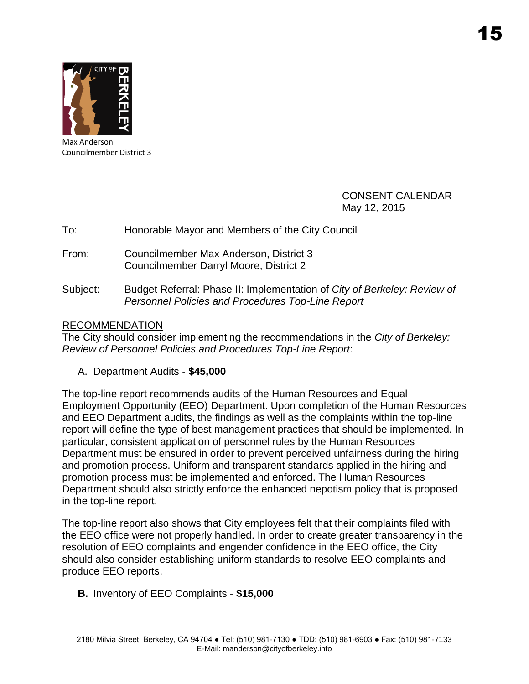

Max Anderson Councilmember District 3

> CONSENT CALENDAR May 12, 2015

## To: Honorable Mayor and Members of the City Council

- From: Councilmember Max Anderson, District 3 Councilmember Darryl Moore, District 2
- Subject: Budget Referral: Phase II: Implementation of *City of Berkeley: Review of Personnel Policies and Procedures Top-Line Report*

## RECOMMENDATION

The City should consider implementing the recommendations in the *City of Berkeley: Review of Personnel Policies and Procedures Top-Line Report*:

A. Department Audits - **\$45,000**

The top-line report recommends audits of the Human Resources and Equal Employment Opportunity (EEO) Department. Upon completion of the Human Resources and EEO Department audits, the findings as well as the complaints within the top-line report will define the type of best management practices that should be implemented. In particular, consistent application of personnel rules by the Human Resources Department must be ensured in order to prevent perceived unfairness during the hiring and promotion process. Uniform and transparent standards applied in the hiring and promotion process must be implemented and enforced. The Human Resources Department should also strictly enforce the enhanced nepotism policy that is proposed in the top-line report.

The top-line report also shows that City employees felt that their complaints filed with the EEO office were not properly handled. In order to create greater transparency in the resolution of EEO complaints and engender confidence in the EEO office, the City should also consider establishing uniform standards to resolve EEO complaints and produce EEO reports.

**B.** Inventory of EEO Complaints - **\$15,000**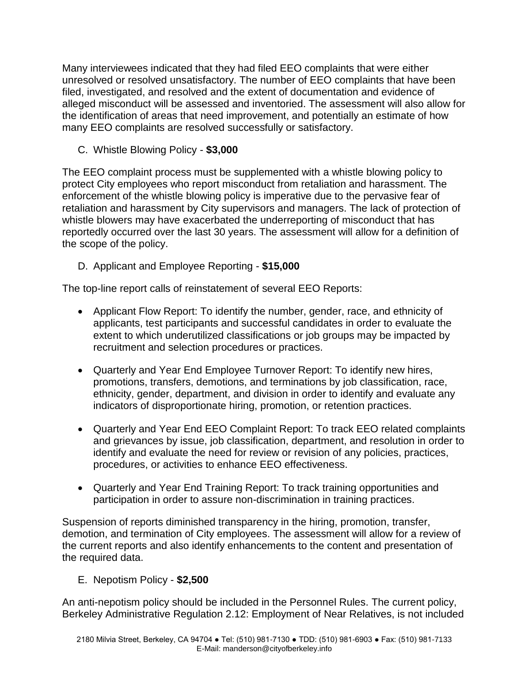Many interviewees indicated that they had filed EEO complaints that were either unresolved or resolved unsatisfactory. The number of EEO complaints that have been filed, investigated, and resolved and the extent of documentation and evidence of alleged misconduct will be assessed and inventoried. The assessment will also allow for the identification of areas that need improvement, and potentially an estimate of how many EEO complaints are resolved successfully or satisfactory.

C. Whistle Blowing Policy - **\$3,000**

The EEO complaint process must be supplemented with a whistle blowing policy to protect City employees who report misconduct from retaliation and harassment. The enforcement of the whistle blowing policy is imperative due to the pervasive fear of retaliation and harassment by City supervisors and managers. The lack of protection of whistle blowers may have exacerbated the underreporting of misconduct that has reportedly occurred over the last 30 years. The assessment will allow for a definition of the scope of the policy.

D. Applicant and Employee Reporting - **\$15,000**

The top-line report calls of reinstatement of several EEO Reports:

- Applicant Flow Report: To identify the number, gender, race, and ethnicity of applicants, test participants and successful candidates in order to evaluate the extent to which underutilized classifications or job groups may be impacted by recruitment and selection procedures or practices.
- Quarterly and Year End Employee Turnover Report: To identify new hires, promotions, transfers, demotions, and terminations by job classification, race, ethnicity, gender, department, and division in order to identify and evaluate any indicators of disproportionate hiring, promotion, or retention practices.
- Quarterly and Year End EEO Complaint Report: To track EEO related complaints and grievances by issue, job classification, department, and resolution in order to identify and evaluate the need for review or revision of any policies, practices, procedures, or activities to enhance EEO effectiveness.
- Quarterly and Year End Training Report: To track training opportunities and participation in order to assure non-discrimination in training practices.

Suspension of reports diminished transparency in the hiring, promotion, transfer, demotion, and termination of City employees. The assessment will allow for a review of the current reports and also identify enhancements to the content and presentation of the required data.

E. Nepotism Policy - **\$2,500**

An anti-nepotism policy should be included in the Personnel Rules. The current policy, Berkeley Administrative Regulation 2.12: Employment of Near Relatives, is not included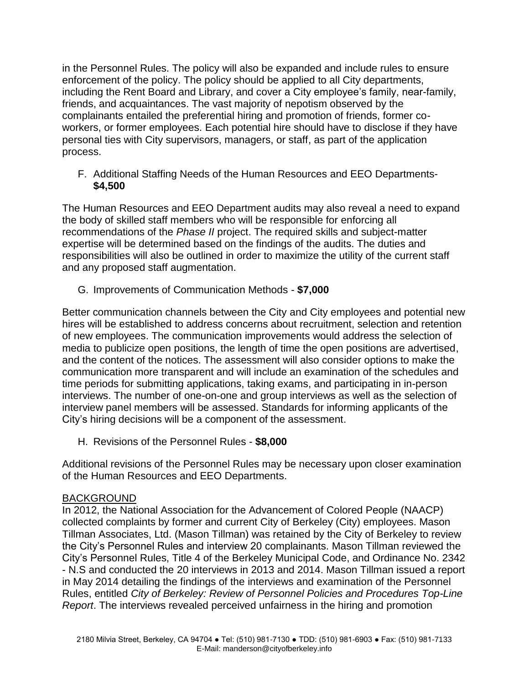in the Personnel Rules. The policy will also be expanded and include rules to ensure enforcement of the policy. The policy should be applied to all City departments, including the Rent Board and Library, and cover a City employee's family, near-family, friends, and acquaintances. The vast majority of nepotism observed by the complainants entailed the preferential hiring and promotion of friends, former coworkers, or former employees. Each potential hire should have to disclose if they have personal ties with City supervisors, managers, or staff, as part of the application process.

F. Additional Staffing Needs of the Human Resources and EEO Departments- **\$4,500**

The Human Resources and EEO Department audits may also reveal a need to expand the body of skilled staff members who will be responsible for enforcing all recommendations of the *Phase II* project. The required skills and subject-matter expertise will be determined based on the findings of the audits. The duties and responsibilities will also be outlined in order to maximize the utility of the current staff and any proposed staff augmentation.

G. Improvements of Communication Methods - **\$7,000**

Better communication channels between the City and City employees and potential new hires will be established to address concerns about recruitment, selection and retention of new employees. The communication improvements would address the selection of media to publicize open positions, the length of time the open positions are advertised, and the content of the notices. The assessment will also consider options to make the communication more transparent and will include an examination of the schedules and time periods for submitting applications, taking exams, and participating in in-person interviews. The number of one-on-one and group interviews as well as the selection of interview panel members will be assessed. Standards for informing applicants of the City's hiring decisions will be a component of the assessment.

H. Revisions of the Personnel Rules - **\$8,000**

Additional revisions of the Personnel Rules may be necessary upon closer examination of the Human Resources and EEO Departments.

## BACKGROUND

In 2012, the National Association for the Advancement of Colored People (NAACP) collected complaints by former and current City of Berkeley (City) employees. Mason Tillman Associates, Ltd. (Mason Tillman) was retained by the City of Berkeley to review the City's Personnel Rules and interview 20 complainants. Mason Tillman reviewed the City's Personnel Rules, Title 4 of the Berkeley Municipal Code, and Ordinance No. 2342 - N.S and conducted the 20 interviews in 2013 and 2014. Mason Tillman issued a report in May 2014 detailing the findings of the interviews and examination of the Personnel Rules, entitled *City of Berkeley: Review of Personnel Policies and Procedures Top-Line Report*. The interviews revealed perceived unfairness in the hiring and promotion